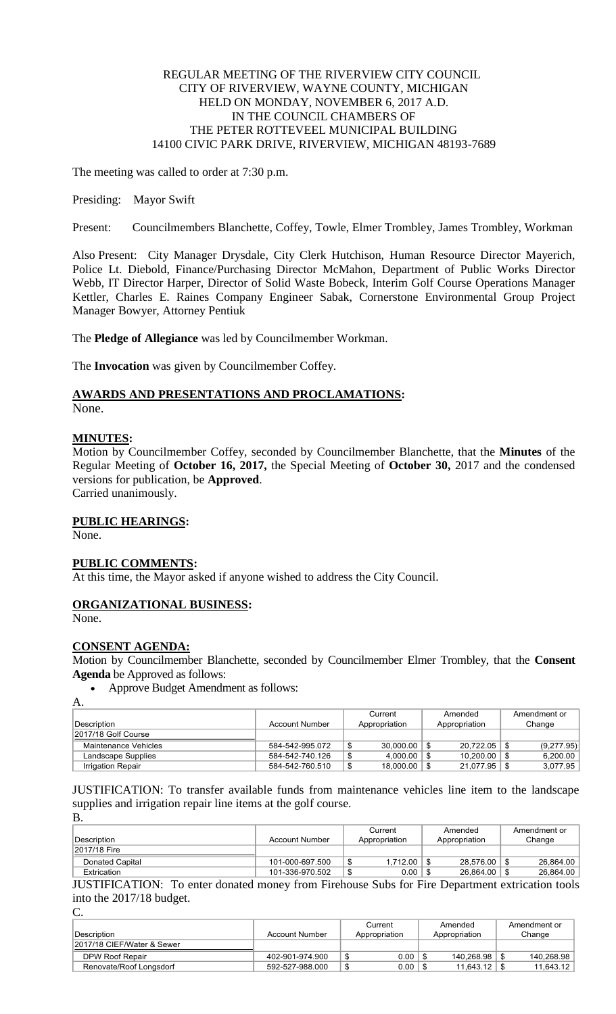## REGULAR MEETING OF THE RIVERVIEW CITY COUNCIL CITY OF RIVERVIEW, WAYNE COUNTY, MICHIGAN HELD ON MONDAY, NOVEMBER 6, 2017 A.D. IN THE COUNCIL CHAMBERS OF THE PETER ROTTEVEEL MUNICIPAL BUILDING 14100 CIVIC PARK DRIVE, RIVERVIEW, MICHIGAN 48193-7689

The meeting was called to order at 7:30 p.m.

Presiding: Mayor Swift

Present: Councilmembers Blanchette, Coffey, Towle, Elmer Trombley, James Trombley, Workman

Also Present: City Manager Drysdale, City Clerk Hutchison, Human Resource Director Mayerich, Police Lt. Diebold, Finance/Purchasing Director McMahon, Department of Public Works Director Webb, IT Director Harper, Director of Solid Waste Bobeck, Interim Golf Course Operations Manager Kettler, Charles E. Raines Company Engineer Sabak, Cornerstone Environmental Group Project Manager Bowyer, Attorney Pentiuk

The **Pledge of Allegiance** was led by Councilmember Workman.

The **Invocation** was given by Councilmember Coffey.

# **AWARDS AND PRESENTATIONS AND PROCLAMATIONS:**

None.

## **MINUTES:**

Motion by Councilmember Coffey, seconded by Councilmember Blanchette, that the **Minutes** of the Regular Meeting of **October 16, 2017,** the Special Meeting of **October 30,** 2017 and the condensed versions for publication, be **Approved**. Carried unanimously.

## **PUBLIC HEARINGS:**

None.

## **PUBLIC COMMENTS:**

At this time, the Mayor asked if anyone wished to address the City Council.

## **ORGANIZATIONAL BUSINESS:**

None.

## **CONSENT AGENDA:**

Motion by Councilmember Blanchette, seconded by Councilmember Elmer Trombley, that the **Consent Agenda** be Approved as follows:

Approve Budget Amendment as follows:

 $\Delta$ 

|                          |                 | Current |               | Amended |                  | Amendment or |            |
|--------------------------|-----------------|---------|---------------|---------|------------------|--------------|------------|
| Description              | Account Number  |         | Appropriation |         | Appropriation    |              | Change     |
| 2017/18 Golf Course      |                 |         |               |         |                  |              |            |
| Maintenance Vehicles     | 584-542-995.072 | J       | 30.000.00     | \$      | $20.722.05$   \$ |              | (9,277.95) |
| Landscape Supplies       | 584-542-740.126 |         | 4.000.00      |         | 10.200.00        |              | 6,200.00   |
| <b>Irrigation Repair</b> | 584-542-760.510 |         | 18,000.00     | \$      | $21,077.95$ \ \$ |              | 3,077.95   |

JUSTIFICATION: To transfer available funds from maintenance vehicles line item to the landscape supplies and irrigation repair line items at the golf course. B.

| Description                                                                                     | <b>Account Number</b> | Current<br>Appropriation | Amended<br>Appropriation | Amendment or<br>Change |
|-------------------------------------------------------------------------------------------------|-----------------------|--------------------------|--------------------------|------------------------|
| 2017/18 Fire                                                                                    |                       |                          |                          |                        |
| Donated Capital                                                                                 | 101-000-697.500       | 1.712.00                 | 28.576.00                | 26.864.00              |
| Extrication                                                                                     | 101-336-970.502       | 0.00                     | 26.864.00                | 26,864.00              |
| HICTIEICATION. To enter denoted money from Eirchause Cubs for Eiro Department extrigation tools |                       |                          |                          |                        |

JUSTIFICATION: To enter donated money from Firehouse Subs for Fire Department extrication tools into the 2017/18 budget.

C.

|                            |                 | Current       |               | Amended    |        | Amendment or |
|----------------------------|-----------------|---------------|---------------|------------|--------|--------------|
| Description                | Account Number  | Appropriation | Appropriation |            | Change |              |
| 2017/18 CIEF/Water & Sewer |                 |               |               |            |        |              |
| DPW Roof Repair            | 402-901-974.900 | 0.00          |               | 140.268.98 |        | 140.268.98   |
| Renovate/Roof Longsdorf    | 592-527-988.000 | \$<br>0.00    |               | 11.643.12  |        | 11.643.12    |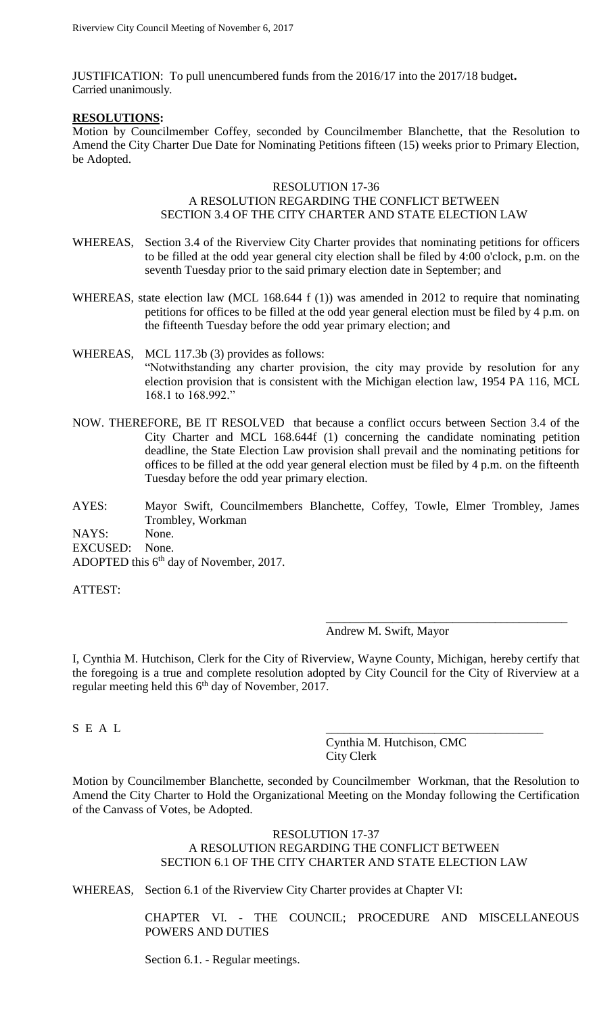JUSTIFICATION: To pull unencumbered funds from the 2016/17 into the 2017/18 budget**.** Carried unanimously.

#### **RESOLUTIONS:**

Motion by Councilmember Coffey, seconded by Councilmember Blanchette, that the Resolution to Amend the City Charter Due Date for Nominating Petitions fifteen (15) weeks prior to Primary Election, be Adopted.

#### RESOLUTION 17-36

## A RESOLUTION REGARDING THE CONFLICT BETWEEN SECTION 3.4 OF THE CITY CHARTER AND STATE ELECTION LAW

- WHEREAS, Section 3.4 of the Riverview City Charter provides that nominating petitions for officers to be filled at the odd year general city election shall be filed by 4:00 o'clock, p.m. on the seventh Tuesday prior to the said primary election date in September; and
- WHEREAS, state election law (MCL 168.644 f (1)) was amended in 2012 to require that nominating petitions for offices to be filled at the odd year general election must be filed by 4 p.m. on the fifteenth Tuesday before the odd year primary election; and
- WHEREAS, MCL 117.3b (3) provides as follows: "Notwithstanding any charter provision, the city may provide by resolution for any election provision that is consistent with the Michigan election law, 1954 PA 116, MCL 168.1 to 168.992."
- NOW. THEREFORE, BE IT RESOLVED that because a conflict occurs between Section 3.4 of the City Charter and MCL 168.644f (1) concerning the candidate nominating petition deadline, the State Election Law provision shall prevail and the nominating petitions for offices to be filled at the odd year general election must be filed by 4 p.m. on the fifteenth Tuesday before the odd year primary election.
- AYES: Mayor Swift, Councilmembers Blanchette, Coffey, Towle, Elmer Trombley, James Trombley, Workman NAYS: None. EXCUSED: None.

ADOPTED this  $6<sup>th</sup>$  day of November, 2017.

ATTEST:

Andrew M. Swift, Mayor

\_\_\_\_\_\_\_\_\_\_\_\_\_\_\_\_\_\_\_\_\_\_\_\_\_\_\_\_\_\_\_\_\_\_\_\_\_\_\_\_

I, Cynthia M. Hutchison, Clerk for the City of Riverview, Wayne County, Michigan, hereby certify that the foregoing is a true and complete resolution adopted by City Council for the City of Riverview at a regular meeting held this 6<sup>th</sup> day of November, 2017.

 $S \, \,E \, \,A \, \,L$ 

Cynthia M. Hutchison, CMC City Clerk

Motion by Councilmember Blanchette, seconded by Councilmember Workman, that the Resolution to Amend the City Charter to Hold the Organizational Meeting on the Monday following the Certification of the Canvass of Votes, be Adopted.

## RESOLUTION 17-37 A RESOLUTION REGARDING THE CONFLICT BETWEEN SECTION 6.1 OF THE CITY CHARTER AND STATE ELECTION LAW

WHEREAS, Section 6.1 of the Riverview City Charter provides at Chapter VI:

CHAPTER VI. - THE COUNCIL; PROCEDURE AND MISCELLANEOUS POWERS AND DUTIES

Section 6.1. - Regular meetings.